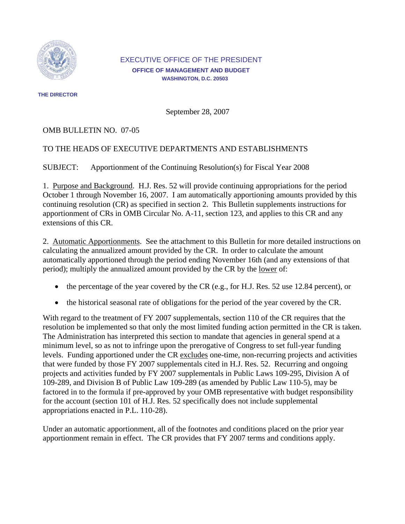

### EXECUTIVE OFFICE OF THE PRESIDENT **OFFICE OF MANAGEMENT AND BUDGET WASHINGTON, D.C. 20503**

**THE DIRECTOR** 

September 28, 2007

# OMB BULLETIN NO. 07-05

# TO THE HEADS OF EXECUTIVE DEPARTMENTS AND ESTABLISHMENTS

SUBJECT: Apportionment of the Continuing Resolution(s) for Fiscal Year 2008

1. Purpose and Background. H.J. Res. 52 will provide continuing appropriations for the period October 1 through November 16, 2007. I am automatically apportioning amounts provided by this continuing resolution (CR) as specified in section 2. This Bulletin supplements instructions for apportionment of CRs in OMB Circular No. A-11, section 123, and applies to this CR and any extensions of this CR.

2. Automatic Apportionments. See the attachment to this Bulletin for more detailed instructions on calculating the annualized amount provided by the CR. In order to calculate the amount automatically apportioned through the period ending November 16th (and any extensions of that period); multiply the annualized amount provided by the CR by the lower of:

- the percentage of the year covered by the CR (e.g., for H.J. Res. 52 use 12.84 percent), or
- the historical seasonal rate of obligations for the period of the year covered by the CR.

With regard to the treatment of FY 2007 supplementals, section 110 of the CR requires that the resolution be implemented so that only the most limited funding action permitted in the CR is taken. The Administration has interpreted this section to mandate that agencies in general spend at a minimum level, so as not to infringe upon the prerogative of Congress to set full-year funding levels. Funding apportioned under the CR excludes one-time, non-recurring projects and activities that were funded by those FY 2007 supplementals cited in H.J. Res. 52. Recurring and ongoing projects and activities funded by FY 2007 supplementals in Public Laws 109-295, Division A of 109-289, and Division B of Public Law 109-289 (as amended by Public Law 110-5), may be factored in to the formula if pre-approved by your OMB representative with budget responsibility for the account (section 101 of H.J. Res. 52 specifically does not include supplemental appropriations enacted in P.L. 110-28).

Under an automatic apportionment, all of the footnotes and conditions placed on the prior year apportionment remain in effect. The CR provides that FY 2007 terms and conditions apply.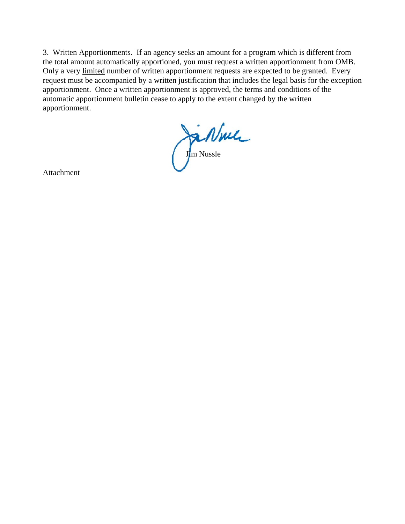3. Written Apportionments. If an agency seeks an amount for a program which is different from the total amount automatically apportioned, you must request a written apportionment from OMB. Only a very limited number of written apportionment requests are expected to be granted. Every request must be accompanied by a written justification that includes the legal basis for the exception apportionment. Once a written apportionment is approved, the terms and conditions of the automatic apportionment bulletin cease to apply to the extent changed by the written apportionment.

Ja Nule

Attachment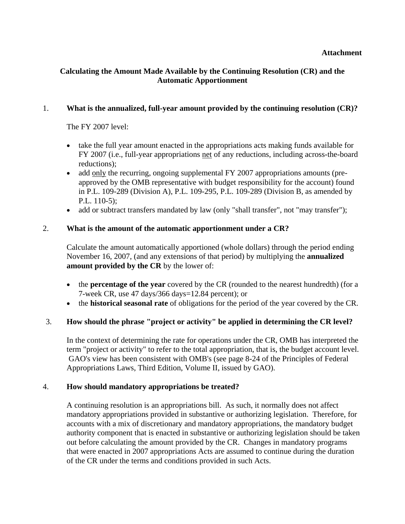# **Calculating the Amount Made Available by the Continuing Resolution (CR) and the Automatic Apportionment**

### 1. **What is the annualized, full-year amount provided by the continuing resolution (CR)?**

The FY 2007 level:

- take the full year amount enacted in the appropriations acts making funds available for FY 2007 (i.e., full-year appropriations net of any reductions, including across-the-board reductions);
- add only the recurring, ongoing supplemental FY 2007 appropriations amounts (preapproved by the OMB representative with budget responsibility for the account) found in P.L. 109-289 (Division A), P.L. 109-295, P.L. 109-289 (Division B, as amended by P.L. 110-5);
- add or subtract transfers mandated by law (only "shall transfer", not "may transfer");

### 2. **What is the amount of the automatic apportionment under a CR?**

Calculate the amount automatically apportioned (whole dollars) through the period ending November 16, 2007, (and any extensions of that period) by multiplying the **annualized amount provided by the CR** by the lower of:

- the **percentage of the year** covered by the CR (rounded to the nearest hundredth) (for a 7-week CR, use 47 days/366 days=12.84 percent); or
- the **historical seasonal rate** of obligations for the period of the year covered by the CR.

#### 3. **How should the phrase "project or activity" be applied in determining the CR level?**

In the context of determining the rate for operations under the CR, OMB has interpreted the term "project or activity" to refer to the total appropriation, that is, the budget account level. GAO's view has been consistent with OMB's (see page 8-24 of the Principles of Federal Appropriations Laws, Third Edition, Volume II, issued by GAO).

#### 4. **How should mandatory appropriations be treated?**

A continuing resolution is an appropriations bill. As such, it normally does not affect mandatory appropriations provided in substantive or authorizing legislation. Therefore, for accounts with a mix of discretionary and mandatory appropriations, the mandatory budget authority component that is enacted in substantive or authorizing legislation should be taken out before calculating the amount provided by the CR. Changes in mandatory programs that were enacted in 2007 appropriations Acts are assumed to continue during the duration of the CR under the terms and conditions provided in such Acts.